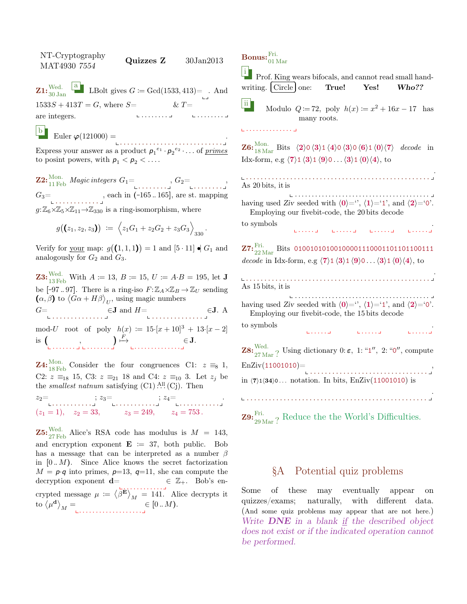NT-Cryptography  $N1$ -Cryptography<br>MAT4930 7554 Quizzes Z 30Jan2013  $\mathbf{Z1:}^{\mathrm{Wed.}}_{\mathrm{30\,Jan}}$ **a** LBolt gives  $G \coloneqq \text{Gcd}(1533, 413) = .$  And  $1533S + 413T = G$ , where  $S=$ . . . . . . . . are integers. . . . . . . . .  $& T =$ 

b Euler  $\varphi(121000) =$ 

. . . . . . . . . . . . . . . . . . . . . . . . . . . . . Express your answer as a product  $p_1^{e_1} \cdot p_2^{e_2} \cdot \ldots$  of *primes* to posint powers, with  $p_1 < p_2 < \ldots$ .

 $\mathbf{Z2:}^{\mathrm{Mon.}}_{11\,\mathrm{Feb}}\,\mathit{Magic\,integers}\;G_1\mathbf{=}\ \mathbf{1:}\ \mathbf{1:}\ \mathbf{1:}\ \mathbf{1:}\ \mathbf{2:}\ \mathbf{2:}\ \mathbf{3:}\ \mathbf{4:}\ \mathbf{4:}\ \mathbf{4:}\ \mathbf{5:}\ \mathbf{4:}\ \mathbf{5:}\ \mathbf{5:}\ \mathbf{6:}\ \mathbf{6:}\ \mathbf{7:}\ \mathbf{8:}\ \mathbf{9:}\ \mathbf{1:}\ \mathbf{1:}\ \mathbf{1:}\ \mathbf{1:}\ \mathbf{1:}\ \mathbf{1:$  $G_3 = \n\begin{bmatrix}\n\ldots & \ldots & \ldots & \ldots\n\end{bmatrix}$ , each in (-165...165], are st. mapping  $g: \mathbb{Z}_6{\times}\mathbb{Z}_5{\times}\mathbb{Z}_{11}{\rightarrow}\mathbb{Z}_{330}$  is a ring-isomorphism, where

$$
g((z_1, z_2, z_3)) := \left\langle z_1G_1 + z_2G_2 + z_3G_3 \right\rangle_{330}
$$

.

Verify for your map:  $g((1,1,1)) = 1$  and  $[5 \cdot 11] \bullet G_1$  and analogously for  $G_2$  and  $G_3$ .

**Z3:** Wed. With  $A := 13$ ,  $B := 15$ ,  $U := A \cdot B = 195$ , let **J** be  $[-97..97]$ . There is a ring-iso  $F: \mathbb{Z}_A \times \mathbb{Z}_B \to \mathbb{Z}_U$  sending  $(\alpha, \beta)$  to  $\langle G\alpha + H\beta \rangle_{U}$ , using magic numbers  $G = \bigcup_{\blacksquare \text{ } \square \text{ } \square \text{ } \square \text{ } \square \text{ } \square \text{ } \square \text{ } \square \text{ } \square \text{ } \square \text{ } \square \text{ } \square \text{ } \square$ mod-U root of poly  $h(x) := 15 \cdot [x + 10]^3 + 13 \cdot [x - 2]$  $is($  $E$ <sup>F</sup>

. . . . . . . , . . . . . . . . . . . . . . . . . . . . . ∈ J.

**Z4:**<sup>Mon.</sup> Consider the four congruences C1:  $z \equiv_8 1$ , C2:  $z \equiv_{18} 15$ , C3:  $z \equiv_{21} 18$  and C4:  $z \equiv_{10} 3$ . Let  $z_j$  be the *smallest natnum* satisfying  $(C1)$ .<sup>All</sup>  $(C<sub>j</sub>)$ . Then

 $z_2 = \n\begin{bmatrix}\nz_2 = \n\end{bmatrix}\n\begin{bmatrix}\nz_3 = \n\end{bmatrix}\n\begin{bmatrix}\nz_4 = \n\end{bmatrix}\n\begin{bmatrix}\nz_5 = \n\end{bmatrix}$  $(z_1 = 1), \quad z_2 = 33, \quad z_3 = 249, \quad z_4 = 753.$ 

**Z5:**  $\frac{\text{Wed.}}{27 \text{ Feb}}$  Alice's RSA code has modulus is  $M = 143$ , and encryption exponent  $\mathbf{E} := 37$ , both public. Bob has a message that can be interpreted as a number  $\beta$ in  $[0..M)$ . Since Alice knows the secret factorization  $M = p \cdot q$  into primes,  $p=13$ ,  $q=11$ , she can compute the decryption exponent  $\mathbf{d} = \mathbf{\epsilon} \ \mathbb{Z}_+$ . Bob's encrypted message  $\mu := \langle \beta^{\mathbf{E}} \rangle_M = 141$ . Alice decrypts it to  $\langle \mu^{\mathbf{d}} \rangle_M =$  $\in [0..M).$ 

 $\mathrm{{\bf Bonus:}}^{\mathrm{Fri.}}_{01\,\mathrm{Mar}}$ 

<sup>i</sup> Prof. King wears bifocals, and cannot read small hand-<br>
vriting. Circle one: True! Yes! Who?? writing. Circle

ii Modulo  $Q := 72$ , poly  $h(x) := x^2 + 16x - 17$  has many roots.

. . . . . . . . . . . . . .

**Z6:**  ${}_{18\,\text{Mar}}^{\text{Mon.}}$  Bits  $\langle 2 \rangle 0 \langle 3 \rangle 1 \langle 4 \rangle 0 \langle 3 \rangle 0 \langle 6 \rangle 1 \langle 0 \rangle \langle 7 \rangle$  decode in Idx-form, e.g  $\langle 7 \rangle$ 1  $\langle 3 \rangle$ 1  $\langle 9 \rangle$ 0 . . .  $\langle 3 \rangle$ 1  $\langle 0 \rangle$  $\langle 4 \rangle$ , to

. . . . . . . . . . . . . . . . . . . . . . . . . . . . . . . . . . . . . . . . . . . . . . . . . . . As 20 bits, it is . . . . . . . . . . . . . . . . . . . . . . . . . . . . . . . . . . . . . . . . having used Ziv seeded with  $\langle 0 \rangle =$ ",  $\langle 1 \rangle = 1$ ", and  $\langle 2 \rangle = 0$ ". Employing our fivebit-code, the 20 bits decode to symbols . . . . . . . . . . . . . . . . . . . . .  $\mathbf{Z7:}^{\mathrm{Fri.}}_{22\,\mathrm{Mar}}$  Bits 010010101001000001110001101101100111 decode in Idx-form, e.g  $\langle 7 \rangle$ 1  $\langle 3 \rangle$ 1  $\langle 9 \rangle$ 0 . . .  $\langle 3 \rangle$ 1  $\langle 0 \rangle$  $\langle 4 \rangle$ , to . . . . . . . . . . . . . . . . . . . . . . . . . . . . . . . . . . . . . . . . . . . . . . . . . . . As 15 bits, it is . . . . . . . . . . . . . . . . . . . . . . . . . . . . . . . . . . . . . . . . having used Ziv seeded with  $\langle 0 \rangle =$ ",  $\langle 1 \rangle = 1$ ", and  $\langle 2 \rangle = 0$ ". Employing our fivebit-code, the 15 bits decode to symbols . . . . . . . . . . . . . . . . **Z8:**  $\frac{\text{Wed.}}{27 \text{ Mar}}$ ? Using dictionary 0:  $\varepsilon$ , 1: "1", 2: "0", compute  $EnZiv(11001010)=$ . . . . . . . . . . . . . . . . . . . . . . . . . . . . . . . . , in  $\langle 7 \rangle$ 1 $\langle 34 \rangle$ 0 . . . notation. In bits, EnZiv $(11001010)$  is . . . . . . . . . . . . . . . . . . . . . . . . . . . . . . . . . . . . . . . . . . . . . . . . . .

**Z9:**  $_{29 \text{Mar}}^{\text{Fri.}}$ ? Reduce the the World's Difficulties.

## §A Potential quiz problems

Some of these may eventually appear on quizzes/exams; naturally, with different data. (And some quiz problems may appear that are not here.) Write **DNE** in a blank if the described object does not exist or if the indicated operation cannot be performed.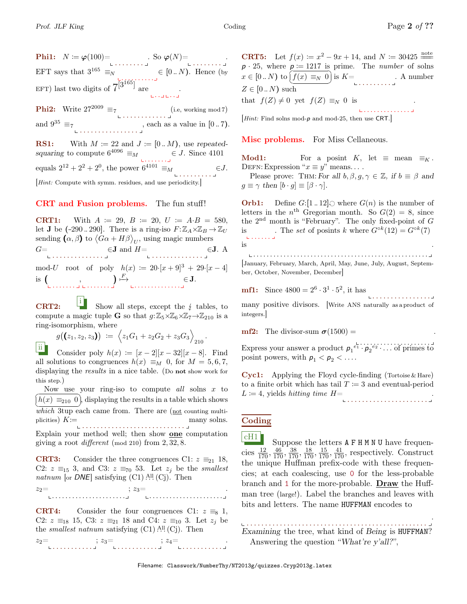Phi1: N := ϕ(100)= . . . . . . . . . So ϕ(N)= . . . . . . . . . EFT says that  $3^{165} \equiv_N$ . <u>. . .</u> . . . . . .  $\in [0..N)$ . Hence (by EFT) last two digits of  $7^{3^{165}}$  are .<br>. . . . . . . . **Phi2:** Write  $27^{2009} \equiv 7$  (i.e, working mod 7) and  $9^{35} \equiv_7$ . . . . . . . . . . . . . . . . , each as a value in [0 .. 7). **RS1:** With  $M \coloneqq 22$  and  $J \coloneqq [0..M)$ , use repeated-

squaring to compute  $6^{4096} \equiv_M$   $\in J$ . Since 4101 equals  $2^{12} + 2^2 + 2^0$ , the power  $6^{4101} \equiv_M$ . . . . . . . . .  $\in J$ .

[Hint: Compute with symm. residues, and use periodicity.]

## CRT and Fusion problems. The fun stuff!

**CRT1:** With  $A := 29$ ,  $B := 20$ ,  $U := A \cdot B = 580$ , let **J** be  $(-290..290]$ . There is a ring-iso  $F: \mathbb{Z}_A \times \mathbb{Z}_B \to \mathbb{Z}_U$ sending  $(\alpha, \beta)$  to  $\langle G\alpha + H\beta \rangle_{U}$ , using magic numbers  $G=$  $\in$ **J** and  $H=$   $\in$ **J**. A mod-U root of poly  $h(x) := 20 \cdot [x+9]^3 + 29 \cdot [x-4]$ is  $\left(\begin{array}{c} 0 & 0 \\ 0 & 0 \end{array}\right)$  $\big) \stackrel{F}{\longmapsto}$ . . . . . . . . . . . . . . ∈ J.

CRT2: i Show all steps, except the  $\frac{1}{2}$  tables, to compute a magic tuple **G** so that  $q: \mathbb{Z}_5 \times \mathbb{Z}_6 \times \mathbb{Z}_7 \rightarrow \mathbb{Z}_{210}$  is a ring-isomorphism, where

$$
g((z_1, z_2, z_3)) := \left\langle z_1G_1 + z_2G_2 + z_3G_3 \right\rangle_{210}.
$$

ii Consider poly  $h(x) := [x-2][x-32][x-8]$ . Find all solutions to congruences  $h(x) \equiv_M 0$ , for  $M = 5, 6, 7$ , displaying the results in a nice table. (Do not show work for this step.)

Now use your ring-iso to compute all solns  $x$  to  $\frac{(1)}{which$  3tup each came from. There are (<u>not</u> counting multi $h(x) \equiv_{210} 0$ , displaying the results in a table which shows plicities)  $K =$ . . . . . . . . . . . . . . . . . . . . . . . . . . . . many solns.

Explain your method well; then show **one** computation giving a root *different* (mod 210) from  $2, 32, 8$ .

**CRT3:** Consider the three congruences C1:  $z \equiv_{21} 18$ , C2:  $z \equiv_{15} 3$ , and C3:  $z \equiv_{70} 53$ . Let  $z_j$  be the *smallest* natnum [or  $DNE$ ] satisfying  $(C1)$  .<sup>All</sup>  $(Cj)$ . Then

 $z_2=$ . . . . . . . . . . . . . . . . . . . . . . . . . . . . . . . . . . . . . . . . . . . .  $\therefore z_3 =$ .

**CRT4:** Consider the four congruences C1:  $z \equiv_8 1$ , C2:  $z \equiv_{18} 15$ , C3:  $z \equiv_{21} 18$  and C4:  $z \equiv_{10} 3$ . Let  $z_i$  be the *smallest natnum* satisfying  $(C1)$ .<sup>All</sup>  $(C<sub>j</sub>)$ . Then

 $z_2 = \n\begin{bmatrix}\nz_2 = \n\end{bmatrix}\n\begin{bmatrix}\nz_3 = \n\end{bmatrix}\n\begin{bmatrix}\nz_4 = \n\end{bmatrix}\n\begin{bmatrix}\nz_5 = \n\end{bmatrix}\n\begin{bmatrix}\nz_6 = \n\end{bmatrix}\n\begin{bmatrix}\nz_7 = \n\end{bmatrix}\n\begin{bmatrix}\nz_8 = \n\end{bmatrix}\n\begin{bmatrix}\nz_7 = \n\end{bmatrix}\n\begin{bmatrix}\nz_8 = \n\end{bmatrix}\n\begin{bmatrix}\nz_7 = \n\end{bmatrix}\n\begin{bmatrix}\nz_8 = \n\end{bmatrix}\n\begin{bmatrix$ 

**CRT5:** Let  $f(x) := x^2 - 9x + 14$ , and  $N := 30425 \frac{\text{note}}{100}$  $p \cdot 25$ , where  $p \coloneqq 1217$  is prime. The *number* of solns  $x \in [0..N)$  to  $\overline{f}$ ✝ ۲.<br>م ✆ f(x) ≡<sup>N</sup> 0 is K= . . . . . . . . . . A number  $Z \in [0..N)$  such that  $f(Z) \neq 0$  yet  $f(Z) \equiv_N 0$  is .

[Hint: Find solns mod-p and mod-25, then use CRT.]

Misc problems. For Miss Cellaneous.

Mod1: For a posint K, let  $\equiv$  mean  $\equiv_K$ . DEFN: Expression " $x \equiv y$ " means....

Please prove: THM: For all  $b, \beta, g, \gamma \in \mathbb{Z}$ , if  $b \equiv \beta$  and  $g \equiv \gamma \text{ then } [b \cdot g] \equiv [\beta \cdot \gamma].$ 

**Orb1:** Define  $G:[1..12] \odot$  where  $G(n)$  is the number of letters in the  $n^{\text{th}}$  Gregorian month. So  $G(2) = 8$ , since the  $2<sup>nd</sup>$  month is "February". The only fixed-point of G is The set of posints k where  $G^{\circ k}(12) = G^{\circ k}(7)$  $\mathbf{L}$  . . . . . . . is .

. . . . . . . . . . . . . . . . . . . . . . . . . . . . . . . . . . . . . . . . . . . . . . . . . . . . [January, February, March, April, May, June, July, August, September, October, November, December]

**mf1:** Since 
$$
4800 = 2^6 \cdot 3^1 \cdot 5^2
$$
, it has

many positive divisors. [Write ANS naturally as a product of integers.]

mf2: The divisor-sum  $\sigma(1500) =$ 

Express your answer a product  $p_1^{\ell_1} \cdots p_2^{\ell_2} \cdots$  of primes to posint powers, with  $p_1 < p_2 < \ldots$ .

Cyc1: Applying the Floyd cycle-finding (Tortoise & Hare) to a finite orbit which has tail  $T = 3$  and eventual-period  $L \coloneqq 4$ , yields *hitting time*  $H=$ . . . . . . . . . . . . . . . . . . . . . . .

## Coding

 $CH1$  Suppose the letters  $A$  F H M N U have frequencies  $\frac{12}{170}$ ,  $\frac{46}{170}$ ,  $\frac{38}{170}$ ,  $\frac{18}{170}$ ,  $\frac{15}{170}$ ,  $\frac{41}{170}$ , respectively. Construct the unique Huffman prefix-code with these frequencies; at each coalescing, use 0 for the less-probable branch and 1 for the more-probable. Draw the Huffman tree (large!). Label the branches and leaves with bits and letters. The name HUFFMAN encodes to

. . . . . . . . . . . . . . . . . . . . . . . . . . . . . . . . . . . . . . . . . . . . . . . . . Examining the tree, what kind of Being is HUFFMAN? Answering the question "What're y'all?",

. . . . . . . . . . . . . .

. . . . . . . . . . . . . . . .

.

.